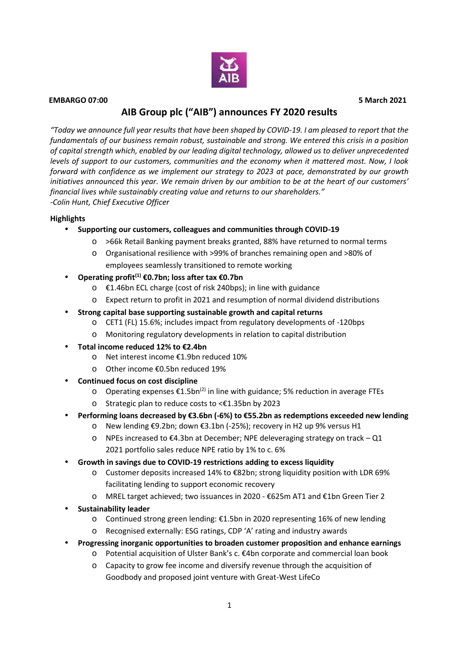

#### **EMBARGO 07:00 5 March 2021**

# **AIB Group plc ("AIB") announces FY 2020 results**

*"Today we announce full year results that have been shaped by COVID-19. I am pleased to report that the fundamentals of our business remain robust, sustainable and strong. We entered this crisis in a position of capital strength which, enabled by our leading digital technology, allowed us to deliver unprecedented levels of support to our customers, communities and the economy when it mattered most. Now, I look forward with confidence as we implement our strategy to 2023 at pace, demonstrated by our growth initiatives announced this year. We remain driven by our ambition to be at the heart of our customers' financial lives while sustainably creating value and returns to our shareholders." -Colin Hunt, Chief Executive Officer*

#### **Highlights**

- **Supporting our customers, colleagues and communities through COVID-19**
	- o >66k Retail Banking payment breaks granted, 88% have returned to normal terms
	- o Organisational resilience with >99% of branches remaining open and >80% of employees seamlessly transitioned to remote working
- **Operating profit(1) €0.7bn; loss after tax €0.7bn**
	- o €1.46bn ECL charge (cost of risk 240bps); in line with guidance
	- o Expect return to profit in 2021 and resumption of normal dividend distributions
- **Strong capital base supporting sustainable growth and capital returns**
	- o CET1 (FL) 15.6%; includes impact from regulatory developments of -120bps
	- o Monitoring regulatory developments in relation to capital distribution
- **Total income reduced 12% to €2.4bn**
	- o Net interest income €1.9bn reduced 10%
	- o Other income €0.5bn reduced 19%
- **Continued focus on cost discipline**
	- o Operating expenses €1.5bn<sup>(2)</sup> in line with guidance; 5% reduction in average FTEs
	- o Strategic plan to reduce costs to <€1.35bn by 2023
- **Performing loans decreased by €3.6bn (-6%) to €55.2bn as redemptions exceeded new lending**
	- o New lending €9.2bn; down €3.1bn (-25%); recovery in H2 up 9% versus H1
	- $\circ$  NPEs increased to €4.3bn at December; NPE deleveraging strategy on track Q1 2021 portfolio sales reduce NPE ratio by 1% to c. 6%
- **Growth in savings due to COVID-19 restrictions adding to excess liquidity**
	- o Customer deposits increased 14% to €82bn; strong liquidity position with LDR 69% facilitating lending to support economic recovery
	- o MREL target achieved; two issuances in 2020 €625m AT1 and €1bn Green Tier 2
- **Sustainability leader**
	- o Continued strong green lending: €1.5bn in 2020 representing 16% of new lending
	- o Recognised externally: ESG ratings, CDP 'A' rating and industry awards
- **Progressing inorganic opportunities to broaden customer proposition and enhance earnings**
	- o Potential acquisition of Ulster Bank's c. €4bn corporate and commercial loan book
	- o Capacity to grow fee income and diversify revenue through the acquisition of Goodbody and proposed joint venture with Great-West LifeCo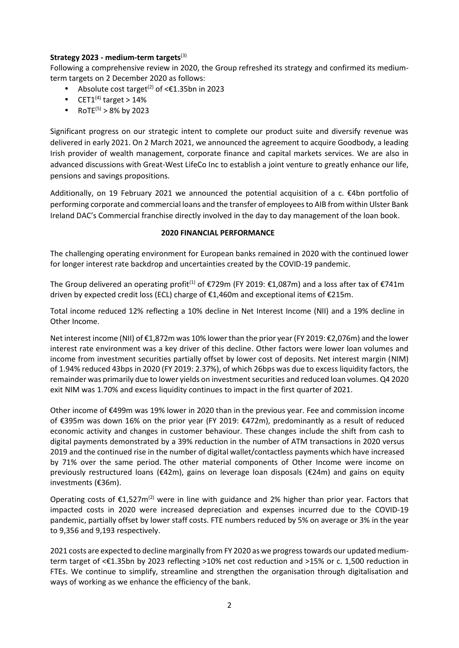### **Strategy 2023 - medium-term targets**(3)

Following a comprehensive review in 2020, the Group refreshed its strategy and confirmed its medium term targets on 2 December 2020 as follows:

- $\bullet$  Absolute cost target<sup>(2)</sup> of <€1.35bn in 2023
- $\bullet$  CET1<sup>(4)</sup> target > 14%
- RoTE<sup>(5)</sup> > 8% by 2023

Significant progress on our strategic intent to complete our product suite and diversify revenue was delivered in early 2021. On 2 March 2021, we announced the agreement to acquire Goodbody, a leading Irish provider of wealth management, corporate finance and capital markets services. We are also in advanced discussions with Great-West LifeCo Inc to establish a joint venture to greatly enhance our life, pensions and savings propositions.

Additionally, on 19 February 2021 we announced the potential acquisition of a c. €4bn portfolio of performing corporate and commercial loans and the transfer of employees to AIB from within Ulster Bank Ireland DAC's Commercial franchise directly involved in the day to day management of the loan book.

#### **2020 FINANCIAL PERFORMANCE**

The challenging operating environment for European banks remained in 2020 with the continued lower for longer interest rate backdrop and uncertainties created by the COVID-19 pandemic.

The Group delivered an operating profit<sup>(1)</sup> of €729m (FY 2019: €1,087m) and a loss after tax of €741m driven by expected credit loss (ECL) charge of €1,460m and exceptional items of €215m.

Total income reduced 12% reflecting a 10% decline in Net Interest Income (NII) and a 19% decline in Other Income.

Net interest income (NII) of €1,872m was 10% lower than the prior year (FY 2019: €2,076m) and the lower interest rate environment was a key driver of this decline. Other factors were lower loan volumes and income from investment securities partially offset by lower cost of deposits. Net interest margin (NIM) of 1.94% reduced 43bps in 2020 (FY 2019: 2.37%), of which 26bps was due to excess liquidity factors, the remainder was primarily due to lower yields on investmentsecurities and reduced loan volumes. Q4 2020 exit NIM was 1.70% and excess liquidity continues to impact in the first quarter of 2021.

Other income of €499m was 19% lower in 2020 than in the previous year. Fee and commission income of €395m was down 16% on the prior year (FY 2019: €472m), predominantly as a result of reduced economic activity and changes in customer behaviour. These changes include the shift from cash to digital payments demonstrated by a 39% reduction in the number of ATM transactions in 2020 versus 2019 and the continued rise in the number of digital wallet/contactless payments which have increased by 71% over the same period. The other material components of Other Income were income on previously restructured loans (€42m), gains on leverage loan disposals (€24m) and gains on equity investments (€36m).

Operating costs of €1,527m<sup>(2)</sup> were in line with guidance and 2% higher than prior year. Factors that impacted costs in 2020 were increased depreciation and expenses incurred due to the COVID-19 pandemic, partially offset by lower staff costs. FTE numbers reduced by 5% on average or 3% in the year to 9,356 and 9,193 respectively.

2021 costs are expected to decline marginally from FY 2020 as we progress towards our updated medium term target of <€1.35bn by 2023 reflecting >10% net cost reduction and >15% or c. 1,500 reduction in FTEs. We continue to simplify, streamline and strengthen the organisation through digitalisation and ways of working as we enhance the efficiency of the bank.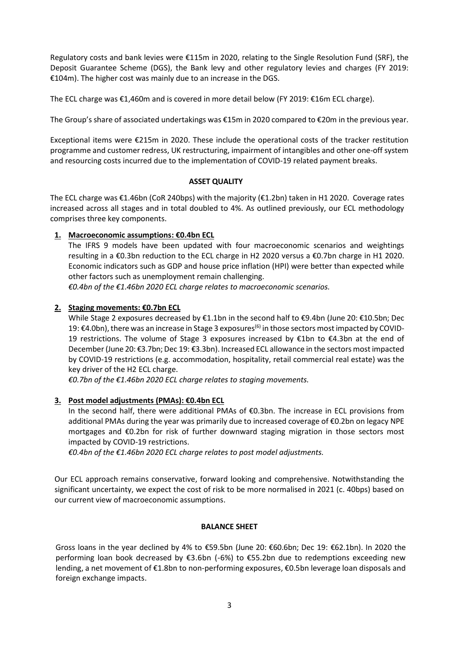Regulatory costs and bank levies were €115m in 2020, relating to the Single Resolution Fund (SRF), the Deposit Guarantee Scheme (DGS), the Bank levy and other regulatory levies and charges (FY 2019: €104m). The higher cost was mainly due to an increase in the DGS.

The ECL charge was €1,460m and is covered in more detail below (FY 2019: €16m ECL charge).

The Group's share of associated undertakings was €15m in 2020 compared to €20m in the previous year.

Exceptional items were €215m in 2020. These include the operational costs of the tracker restitution programme and customer redress, UK restructuring, impairment of intangibles and other one-off system and resourcing costs incurred due to the implementation of COVID-19 related payment breaks.

#### **ASSET QUALITY**

The ECL charge was €1.46bn (CoR 240bps) with the majority (€1.2bn) taken in H1 2020. Coverage rates increased across all stages and in total doubled to 4%. As outlined previously, our ECL methodology comprises three key components.

## **1. Macroeconomic assumptions: €0.4bn ECL**

The IFRS 9 models have been updated with four macroeconomic scenarios and weightings resulting in a €0.3bn reduction to the ECL charge in H2 2020 versus a €0.7bn charge in H1 2020. Economic indicators such as GDP and house price inflation (HPI) were better than expected while other factors such as unemployment remain challenging.

*€0.4bn of the €1.46bn 2020 ECL charge relates to macroeconomic scenarios.*

### **2. Staging movements: €0.7bn ECL**

While Stage 2 exposures decreased by €1.1bn in the second half to €9.4bn (June 20: €10.5bn; Dec 19: €4.0bn), there was an increase in Stage 3 exposures<sup>(6)</sup> in those sectors most impacted by COVID-19 restrictions. The volume of Stage 3 exposures increased by €1bn to €4.3bn at the end of December (June 20: €3.7bn; Dec 19: €3.3bn). Increased ECL allowance in the sectors most impacted by COVID-19 restrictions (e.g. accommodation, hospitality, retail commercial real estate) was the key driver of the H2 ECL charge.

*€0.7bn of the €1.46bn 2020 ECL charge relates to staging movements.*

#### **3. Post model adjustments (PMAs): €0.4bn ECL**

In the second half, there were additional PMAs of €0.3bn. The increase in ECL provisions from additional PMAs during the year was primarily due to increased coverage of €0.2bn on legacy NPE mortgages and €0.2bn for risk of further downward staging migration in those sectors most impacted by COVID-19 restrictions.

*€0.4bn of the €1.46bn 2020 ECL charge relates to post model adjustments.*

Our ECL approach remains conservative, forward looking and comprehensive. Notwithstanding the significant uncertainty, we expect the cost of risk to be more normalised in 2021 (c. 40bps) based on our current view of macroeconomic assumptions.

#### **BALANCE SHEET**

Gross loans in the year declined by 4% to €59.5bn (June 20: €60.6bn; Dec 19: €62.1bn). In 2020 the performing loan book decreased by €3.6bn (-6%) to €55.2bn due to redemptions exceeding new lending, a net movement of €1.8bn to non-performing exposures, €0.5bn leverage loan disposals and foreign exchange impacts.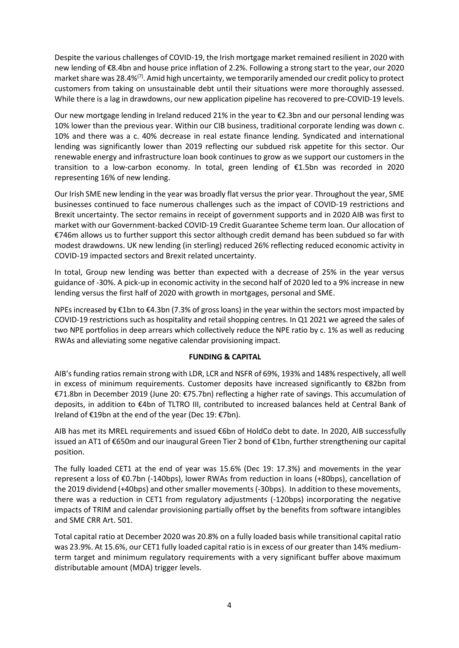Despite the various challenges of COVID-19, the Irish mortgage market remained resilient in 2020 with new lending of €8.4bn and house price inflation of 2.2%. Following a strong start to the year, our 2020 market share was 28.4%<sup>(7)</sup>. Amid high uncertainty, we temporarily amended our credit policy to protect customers from taking on unsustainable debt until their situations were more thoroughly assessed. While there is a lag in drawdowns, our new application pipeline has recovered to pre-COVID-19 levels.

Our new mortgage lending in Ireland reduced 21% in the year to €2.3bn and our personal lending was 10% lower than the previous year. Within our CIB business, traditional corporate lending was down c. 10% and there was a c. 40% decrease in real estate finance lending. Syndicated and international lending was significantly lower than 2019 reflecting our subdued risk appetite for this sector. Our renewable energy and infrastructure loan book continues to grow as we support our customers in the transition to a low-carbon economy. In total, green lending of €1.5bn was recorded in 2020 representing 16% of new lending.

Our Irish SME new lending in the year was broadly flat versus the prior year. Throughout the year, SME businesses continued to face numerous challenges such as the impact of COVID-19 restrictions and Brexit uncertainty. The sector remains in receipt of government supports and in 2020 AIB was first to market with our Government-backed COVID-19 Credit Guarantee Scheme term loan. Our allocation of €746m allows us to further support this sector although credit demand has been subdued so far with modest drawdowns. UK new lending (in sterling) reduced 26% reflecting reduced economic activity in COVID-19 impacted sectors and Brexit related uncertainty.

In total, Group new lending was better than expected with a decrease of 25% in the year versus guidance of -30%. A pick-up in economic activity in the second half of 2020 led to a 9% increase in new lending versus the first half of 2020 with growth in mortgages, personal and SME.

NPEs increased by €1bn to €4.3bn (7.3% of gross loans) in the year within the sectors most impacted by COVID-19 restrictions such as hospitality and retail shopping centres. In Q1 2021 we agreed the sales of two NPE portfolios in deep arrears which collectively reduce the NPE ratio by c. 1% as well as reducing RWAs and alleviating some negative calendar provisioning impact.

## **FUNDING & CAPITAL**

AIB's funding ratios remain strong with LDR, LCR and NSFR of 69%, 193% and 148% respectively, all well in excess of minimum requirements. Customer deposits have increased significantly to €82bn from €71.8bn in December 2019 (June 20: €75.7bn) reflecting a higher rate of savings. This accumulation of deposits, in addition to €4bn of TLTRO III, contributed to increased balances held at Central Bank of Ireland of €19bn at the end of the year (Dec 19: €7bn).

AIB has met its MREL requirements and issued €6bn of HoldCo debt to date. In 2020, AIB successfully issued an AT1 of €650m and our inaugural Green Tier 2 bond of €1bn, further strengthening our capital position.

The fully loaded CET1 at the end of year was 15.6% (Dec 19: 17.3%) and movements in the year represent a loss of €0.7bn (-140bps), lower RWAs from reduction in loans (+80bps), cancellation of the 2019 dividend (+40bps) and other smaller movements(-30bps). In addition to these movements, there was a reduction in CET1 from regulatory adjustments (-120bps) incorporating the negative impacts of TRIM and calendar provisioning partially offset by the benefits from software intangibles and SME CRR Art. 501.

Total capital ratio at December 2020 was 20.8% on a fully loaded basis while transitional capital ratio was 23.9%. At 15.6%, our CET1 fully loaded capital ratio is in excess of our greater than 14% medium term target and minimum regulatory requirements with a very significant buffer above maximum distributable amount (MDA) trigger levels.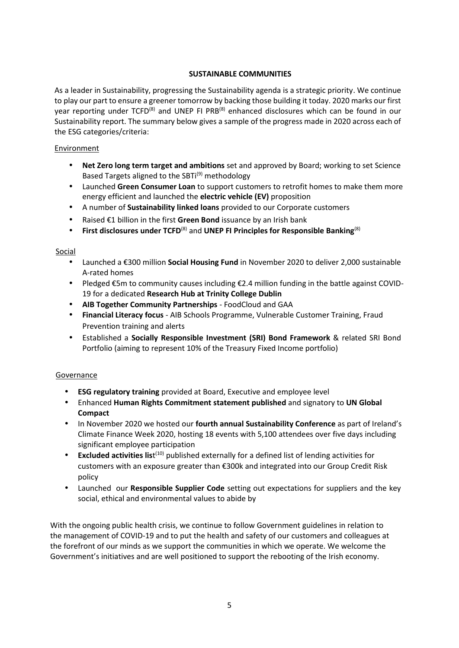## **SUSTAINABLE COMMUNITIES**

As a leader in Sustainability, progressing the Sustainability agenda is a strategic priority. We continue to play our part to ensure a greener tomorrow by backing those building it today. 2020 marks our first year reporting under TCFD<sup>(8)</sup> and UNEP FI PRB<sup>(8)</sup> enhanced disclosures which can be found in our Sustainability report. The summary below gives a sample of the progress made in 2020 across each of the ESG categories/criteria:

#### Environment

- **Net Zero long term target and ambitions** set and approved by Board; working to set Science Based Targets aligned to the SBTi<sup>(9)</sup> methodology
- Launched **Green Consumer Loan** to support customers to retrofit homes to make them more energy efficient and launched the **electric vehicle (EV)** proposition
- A number of **Sustainability linked loans** provided to our Corporate customers
- Raised €1 billion in the first **Green Bond** issuance by an Irish bank
- **First disclosures under TCFD**(8) and **UNEP FI Principles for Responsible Banking**(8)

#### Social

- Launched a €300 million **Social Housing Fund** in November 2020 to deliver 2,000 sustainable A-rated homes
- Pledged €5m to community causes including €2.4 million funding in the battle against COVID- 19 for a dedicated **Research Hub at Trinity College Dublin**
- **AIB Together Community Partnerships** FoodCloud and GAA
- **Financial Literacy focus** AIB Schools Programme, Vulnerable Customer Training, Fraud Prevention training and alerts
- Established a **Socially Responsible Investment (SRI) Bond Framework** & related SRI Bond Portfolio (aiming to represent 10% of the Treasury Fixed Income portfolio)

#### Governance

- **ESG regulatory training** provided at Board, Executive and employee level
- Enhanced **Human Rights Commitment statement published** and signatory to **UN Global Compact**
- In November 2020 we hosted our **fourth annual Sustainability Conference** as part of Ireland's Climate Finance Week 2020, hosting 18 events with 5,100 attendees over five days including significant employee participation
- **Excluded activities list**<sup>(10)</sup> published externally for a defined list of lending activities for customers with an exposure greater than €300k and integrated into our Group Credit Risk policy
- Launched our **Responsible Supplier Code** setting out expectations for suppliers and the key social, ethical and environmental values to abide by

With the ongoing public health crisis, we continue to follow Government guidelines in relation to the management of COVID-19 and to put the health and safety of our customers and colleagues at the forefront of our minds as we support the communities in which we operate. We welcome the Government's initiatives and are well positioned to support the rebooting of the Irish economy.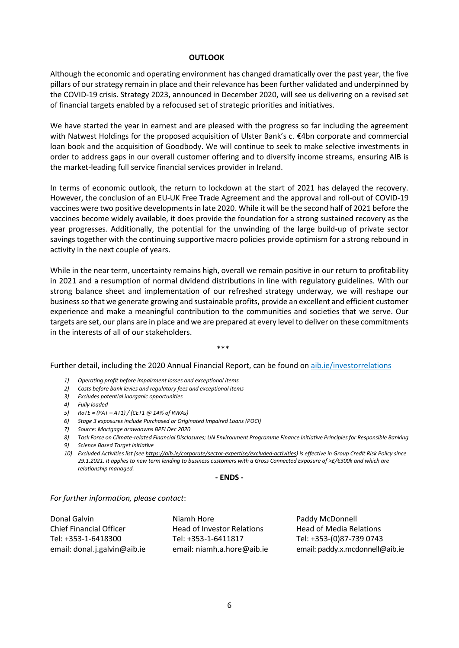#### **OUTLOOK**

Although the economic and operating environment has changed dramatically over the past year, the five pillars of our strategy remain in place and their relevance has been further validated and underpinned by the COVID-19 crisis. Strategy 2023, announced in December 2020, will see us delivering on a revised set of financial targets enabled by a refocused set of strategic priorities and initiatives.

We have started the year in earnest and are pleased with the progress so far including the agreement with Natwest Holdings for the proposed acquisition of Ulster Bank's c. €4bn corporate and commercial loan book and the acquisition of Goodbody. We will continue to seek to make selective investments in order to address gaps in our overall customer offering and to diversify income streams, ensuring AIB is the market-leading full service financial services provider in Ireland.

In terms of economic outlook, the return to lockdown at the start of 2021 has delayed the recovery. However, the conclusion of an EU-UK Free Trade Agreement and the approval and roll-out of COVID-19 vaccines were two positive developments in late 2020. While it will be the second half of 2021 before the vaccines become widely available, it does provide the foundation for a strong sustained recovery as the year progresses. Additionally, the potential for the unwinding of the large build-up of private sector savings together with the continuing supportive macro policies provide optimism for a strong rebound in activity in the next couple of years.

While in the near term, uncertainty remains high, overall we remain positive in our return to profitability in 2021 and a resumption of normal dividend distributions in line with regulatory guidelines. With our strong balance sheet and implementation of our refreshed strategy underway, we will reshape our business so that we generate growing and sustainable profits, provide an excellent and efficient customer experience and make a meaningful contribution to the communities and societies that we serve. Our targets are set, our plans are in place and we are prepared at every level to deliver on these commitments in the interests of all of our stakeholders.

\*\*\*

Further detail, including the 2020 Annual Financial Report, can be found on aib.ie/investorrelations

- *1) Operating profit before impairment losses and exceptional items*
- *2) Costs before bank levies and regulatory fees and exceptional items*
- *3) Excludes potential inorganic opportunities*
- *4) Fully loaded*
- *5) RoTE = (PAT – AT1) / (CET1 @ 14% of RWAs)*
- *6) Stage 3 exposures include Purchased or Originated Impaired Loans (POCI)*
- *7) Source: Mortgage drawdowns BPFI Dec 2020*
- *8) Task Force on Climate-related Financial Disclosures; UN Environment Programme Finance Initiative Principles for Responsible Banking*
- *9) Science Based Target initiative*
- *10) Excluded Activities list (see https://aib.ie/corporate/sector-expertise/excluded-activities) is effective in Group Credit Risk Policy since 29.1.2021. It applies to new term lending to business customers with a Gross Connected Exposure of >£/€300k and which are relationship managed.*

**- ENDS -**

*For further information, please contact*:

Donal Galvin Niamh Hore Niamh Hore Paddy McDonnell

Chief Financial Officer **Head of Investor Relations** Head of Media Relations Tel: +353-1-6418300 Tel: +353-1-6411817 Tel: +353-(0)87-739 0743

email: donal.j.galvin@aib.ie email: niamh.a.hore@aib.ie email: paddy.x.mcdonnell@aib.ie